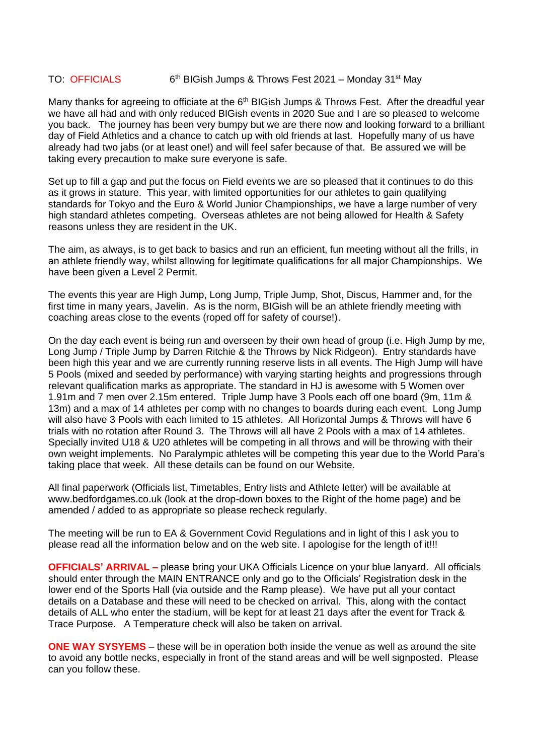## TO: OFFICIALS  $6<sup>th</sup>$  BIGish Jumps & Throws Fest 2021 – Monday 31<sup>st</sup> May

Many thanks for agreeing to officiate at the 6<sup>th</sup> BIGish Jumps & Throws Fest. After the dreadful year we have all had and with only reduced BIGish events in 2020 Sue and I are so pleased to welcome you back. The journey has been very bumpy but we are there now and looking forward to a brilliant day of Field Athletics and a chance to catch up with old friends at last. Hopefully many of us have already had two jabs (or at least one!) and will feel safer because of that. Be assured we will be taking every precaution to make sure everyone is safe.

Set up to fill a gap and put the focus on Field events we are so pleased that it continues to do this as it grows in stature. This year, with limited opportunities for our athletes to gain qualifying standards for Tokyo and the Euro & World Junior Championships, we have a large number of very high standard athletes competing. Overseas athletes are not being allowed for Health & Safety reasons unless they are resident in the UK.

The aim, as always, is to get back to basics and run an efficient, fun meeting without all the frills, in an athlete friendly way, whilst allowing for legitimate qualifications for all major Championships. We have been given a Level 2 Permit.

The events this year are High Jump, Long Jump, Triple Jump, Shot, Discus, Hammer and, for the first time in many years, Javelin. As is the norm, BIGish will be an athlete friendly meeting with coaching areas close to the events (roped off for safety of course!).

On the day each event is being run and overseen by their own head of group (i.e. High Jump by me, Long Jump / Triple Jump by Darren Ritchie & the Throws by Nick Ridgeon). Entry standards have been high this year and we are currently running reserve lists in all events. The High Jump will have 5 Pools (mixed and seeded by performance) with varying starting heights and progressions through relevant qualification marks as appropriate. The standard in HJ is awesome with 5 Women over 1.91m and 7 men over 2.15m entered. Triple Jump have 3 Pools each off one board (9m, 11m & 13m) and a max of 14 athletes per comp with no changes to boards during each event. Long Jump will also have 3 Pools with each limited to 15 athletes. All Horizontal Jumps & Throws will have 6 trials with no rotation after Round 3. The Throws will all have 2 Pools with a max of 14 athletes. Specially invited U18 & U20 athletes will be competing in all throws and will be throwing with their own weight implements. No Paralympic athletes will be competing this year due to the World Para's taking place that week. All these details can be found on our Website.

All final paperwork (Officials list, Timetables, Entry lists and Athlete letter) will be available at www.bedfordgames.co.uk (look at the drop-down boxes to the Right of the home page) and be amended / added to as appropriate so please recheck regularly.

The meeting will be run to EA & Government Covid Regulations and in light of this I ask you to please read all the information below and on the web site. I apologise for the length of it!!!

**OFFICIALS' ARRIVAL –** please bring your UKA Officials Licence on your blue lanyard. All officials should enter through the MAIN ENTRANCE only and go to the Officials' Registration desk in the lower end of the Sports Hall (via outside and the Ramp please). We have put all your contact details on a Database and these will need to be checked on arrival. This, along with the contact details of ALL who enter the stadium, will be kept for at least 21 days after the event for Track & Trace Purpose. A Temperature check will also be taken on arrival.

**ONE WAY SYSYEMS** – these will be in operation both inside the venue as well as around the site to avoid any bottle necks, especially in front of the stand areas and will be well signposted. Please can you follow these.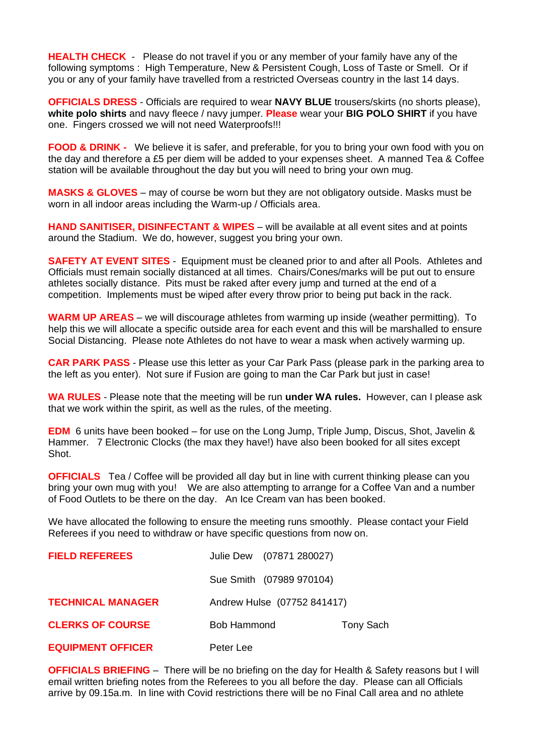**HEALTH CHECK** - Please do not travel if you or any member of your family have any of the following symptoms : High Temperature, New & Persistent Cough, Loss of Taste or Smell. Or if you or any of your family have travelled from a restricted Overseas country in the last 14 days.

**OFFICIALS DRESS** - Officials are required to wear **NAVY BLUE** trousers/skirts (no shorts please), **white polo shirts** and navy fleece / navy jumper. **Please** wear your **BIG POLO SHIRT** if you have one. Fingers crossed we will not need Waterproofs!!!

**FOOD & DRINK -** We believe it is safer, and preferable, for you to bring your own food with you on the day and therefore a £5 per diem will be added to your expenses sheet. A manned Tea & Coffee station will be available throughout the day but you will need to bring your own mug.

**MASKS & GLOVES** – may of course be worn but they are not obligatory outside. Masks must be worn in all indoor areas including the Warm-up / Officials area.

**HAND SANITISER, DISINFECTANT & WIPES** – will be available at all event sites and at points around the Stadium. We do, however, suggest you bring your own.

**SAFETY AT EVENT SITES** - Equipment must be cleaned prior to and after all Pools. Athletes and Officials must remain socially distanced at all times. Chairs/Cones/marks will be put out to ensure athletes socially distance. Pits must be raked after every jump and turned at the end of a competition. Implements must be wiped after every throw prior to being put back in the rack.

**WARM UP AREAS** – we will discourage athletes from warming up inside (weather permitting). To help this we will allocate a specific outside area for each event and this will be marshalled to ensure Social Distancing. Please note Athletes do not have to wear a mask when actively warming up.

**CAR PARK PASS** - Please use this letter as your Car Park Pass (please park in the parking area to the left as you enter). Not sure if Fusion are going to man the Car Park but just in case!

**WA RULES** - Please note that the meeting will be run **under WA rules.** However, can I please ask that we work within the spirit, as well as the rules, of the meeting.

**EDM** 6 units have been booked – for use on the Long Jump, Triple Jump, Discus, Shot, Javelin & Hammer. 7 Electronic Clocks (the max they have!) have also been booked for all sites except Shot.

**OFFICIALS** Tea / Coffee will be provided all day but in line with current thinking please can you bring your own mug with you! We are also attempting to arrange for a Coffee Van and a number of Food Outlets to be there on the day. An Ice Cream van has been booked.

We have allocated the following to ensure the meeting runs smoothly. Please contact your Field Referees if you need to withdraw or have specific questions from now on.

| <b>FIELD REFEREES</b>    | Julie Dew (07871 280027)    |           |
|--------------------------|-----------------------------|-----------|
|                          | Sue Smith (07989 970104)    |           |
| <b>TECHNICAL MANAGER</b> | Andrew Hulse (07752 841417) |           |
| <b>CLERKS OF COURSE</b>  | <b>Bob Hammond</b>          | Tony Sach |
| <b>EQUIPMENT OFFICER</b> | Peter Lee                   |           |

**OFFICIALS BRIEFING** – There will be no briefing on the day for Health & Safety reasons but I will email written briefing notes from the Referees to you all before the day. Please can all Officials arrive by 09.15a.m. In line with Covid restrictions there will be no Final Call area and no athlete